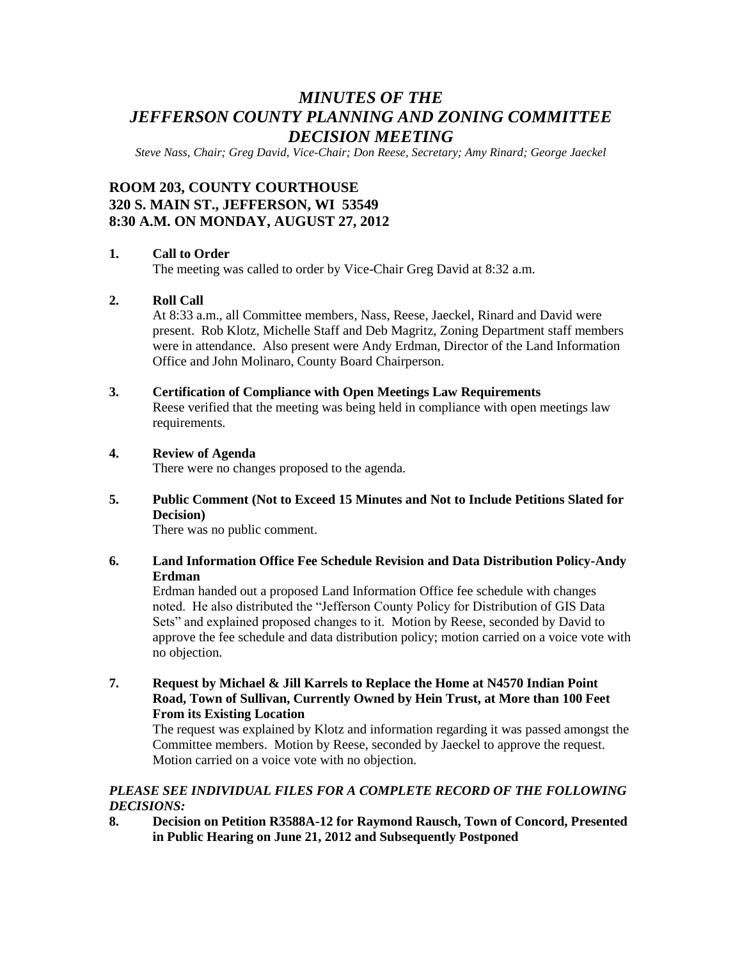# *MINUTES OF THE JEFFERSON COUNTY PLANNING AND ZONING COMMITTEE DECISION MEETING*

*Steve Nass, Chair; Greg David, Vice-Chair; Don Reese, Secretary; Amy Rinard; George Jaeckel*

# **ROOM 203, COUNTY COURTHOUSE 320 S. MAIN ST., JEFFERSON, WI 53549 8:30 A.M. ON MONDAY, AUGUST 27, 2012**

#### **1. Call to Order**

The meeting was called to order by Vice-Chair Greg David at 8:32 a.m.

#### **2. Roll Call**

At 8:33 a.m., all Committee members, Nass, Reese, Jaeckel, Rinard and David were present. Rob Klotz, Michelle Staff and Deb Magritz, Zoning Department staff members were in attendance. Also present were Andy Erdman, Director of the Land Information Office and John Molinaro, County Board Chairperson.

#### **3. Certification of Compliance with Open Meetings Law Requirements**

Reese verified that the meeting was being held in compliance with open meetings law requirements.

#### **4. Review of Agenda**

There were no changes proposed to the agenda.

**5. Public Comment (Not to Exceed 15 Minutes and Not to Include Petitions Slated for Decision)**

There was no public comment.

#### **6. Land Information Office Fee Schedule Revision and Data Distribution Policy-Andy Erdman**

Erdman handed out a proposed Land Information Office fee schedule with changes noted. He also distributed the "Jefferson County Policy for Distribution of GIS Data Sets" and explained proposed changes to it. Motion by Reese, seconded by David to approve the fee schedule and data distribution policy; motion carried on a voice vote with no objection.

**7. Request by Michael & Jill Karrels to Replace the Home at N4570 Indian Point Road, Town of Sullivan, Currently Owned by Hein Trust, at More than 100 Feet From its Existing Location**

The request was explained by Klotz and information regarding it was passed amongst the Committee members. Motion by Reese, seconded by Jaeckel to approve the request. Motion carried on a voice vote with no objection.

### *PLEASE SEE INDIVIDUAL FILES FOR A COMPLETE RECORD OF THE FOLLOWING DECISIONS:*

**8. Decision on Petition R3588A-12 for Raymond Rausch, Town of Concord, Presented in Public Hearing on June 21, 2012 and Subsequently Postponed**